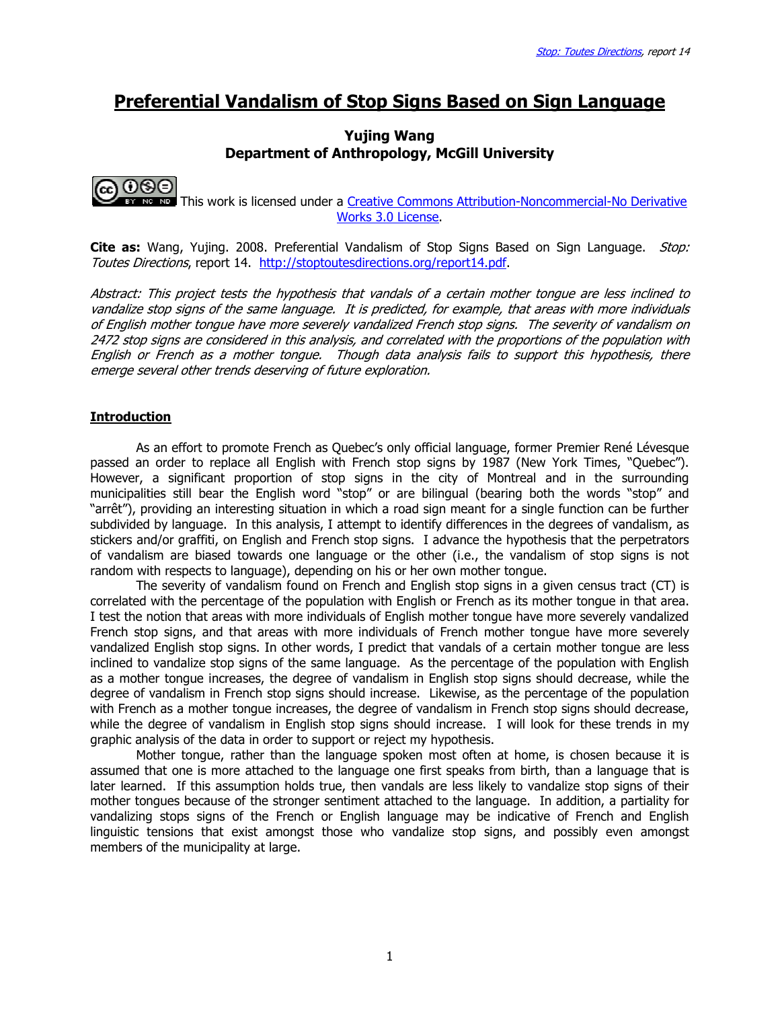# Preferential Vandalism of Stop Signs Based on Sign Language

### Yujing Wang Department of Anthropology, McGill University



EY NO NO This work is licensed under a Creative Commons Attribution-Noncommercial-No Derivative Works 3.0 License.

Cite as: Wang, Yujing. 2008. Preferential Vandalism of Stop Signs Based on Sign Language. *Stop:* Toutes Directions, report 14. http://stoptoutesdirections.org/report14.pdf.

Abstract: This project tests the hypothesis that vandals of a certain mother tongue are less inclined to vandalize stop signs of the same language. It is predicted, for example, that areas with more individuals of English mother tongue have more severely vandalized French stop signs. The severity of vandalism on 2472 stop signs are considered in this analysis, and correlated with the proportions of the population with English or French as a mother tongue. Though data analysis fails to support this hypothesis, there emerge several other trends deserving of future exploration.

### Introduction

 As an effort to promote French as Quebec's only official language, former Premier René Lévesque passed an order to replace all English with French stop signs by 1987 (New York Times, "Quebec"). However, a significant proportion of stop signs in the city of Montreal and in the surrounding municipalities still bear the English word "stop" or are bilingual (bearing both the words "stop" and "arrêt"), providing an interesting situation in which a road sign meant for a single function can be further subdivided by language. In this analysis, I attempt to identify differences in the degrees of vandalism, as stickers and/or graffiti, on English and French stop signs. I advance the hypothesis that the perpetrators of vandalism are biased towards one language or the other (i.e., the vandalism of stop signs is not random with respects to language), depending on his or her own mother tongue.

 The severity of vandalism found on French and English stop signs in a given census tract (CT) is correlated with the percentage of the population with English or French as its mother tongue in that area. I test the notion that areas with more individuals of English mother tongue have more severely vandalized French stop signs, and that areas with more individuals of French mother tongue have more severely vandalized English stop signs. In other words, I predict that vandals of a certain mother tongue are less inclined to vandalize stop signs of the same language. As the percentage of the population with English as a mother tongue increases, the degree of vandalism in English stop signs should decrease, while the degree of vandalism in French stop signs should increase. Likewise, as the percentage of the population with French as a mother tongue increases, the degree of vandalism in French stop signs should decrease, while the degree of vandalism in English stop signs should increase. I will look for these trends in my graphic analysis of the data in order to support or reject my hypothesis.

 Mother tongue, rather than the language spoken most often at home, is chosen because it is assumed that one is more attached to the language one first speaks from birth, than a language that is later learned. If this assumption holds true, then vandals are less likely to vandalize stop signs of their mother tongues because of the stronger sentiment attached to the language. In addition, a partiality for vandalizing stops signs of the French or English language may be indicative of French and English linguistic tensions that exist amongst those who vandalize stop signs, and possibly even amongst members of the municipality at large.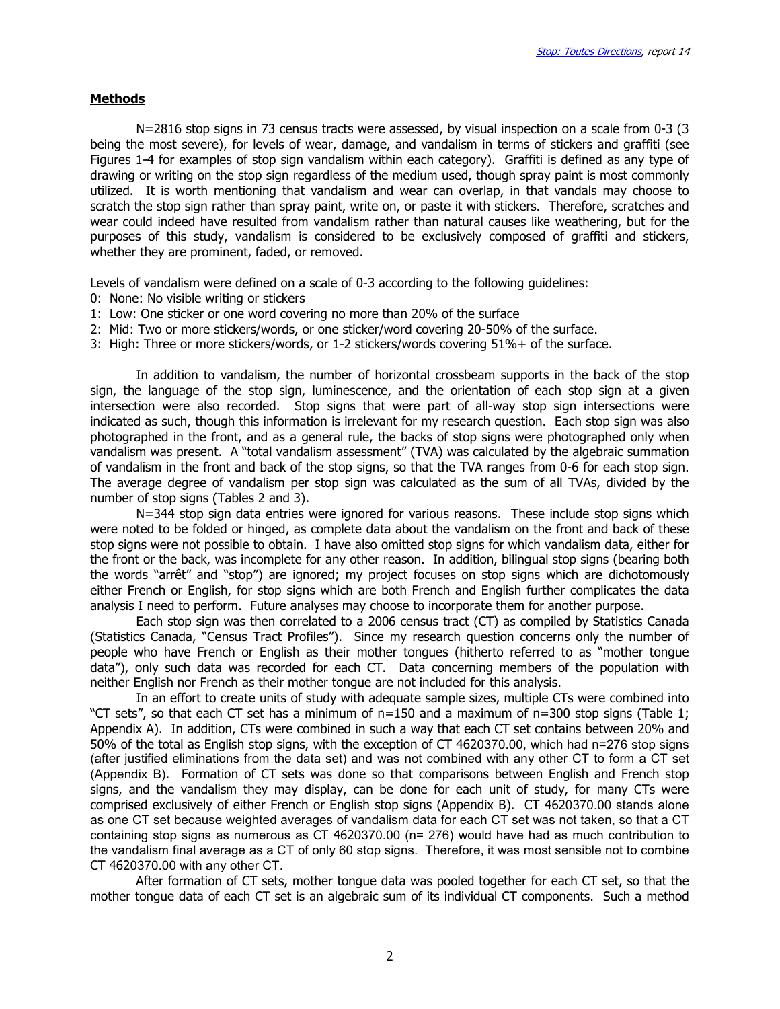#### **Methods**

 N=2816 stop signs in 73 census tracts were assessed, by visual inspection on a scale from 0-3 (3 being the most severe), for levels of wear, damage, and vandalism in terms of stickers and graffiti (see Figures 1-4 for examples of stop sign vandalism within each category). Graffiti is defined as any type of drawing or writing on the stop sign regardless of the medium used, though spray paint is most commonly utilized. It is worth mentioning that vandalism and wear can overlap, in that vandals may choose to scratch the stop sign rather than spray paint, write on, or paste it with stickers. Therefore, scratches and wear could indeed have resulted from vandalism rather than natural causes like weathering, but for the purposes of this study, vandalism is considered to be exclusively composed of graffiti and stickers, whether they are prominent, faded, or removed.

Levels of vandalism were defined on a scale of 0-3 according to the following guidelines:

- 0: None: No visible writing or stickers
- 1: Low: One sticker or one word covering no more than 20% of the surface
- 2: Mid: Two or more stickers/words, or one sticker/word covering 20-50% of the surface.
- 3: High: Three or more stickers/words, or 1-2 stickers/words covering 51%+ of the surface.

 In addition to vandalism, the number of horizontal crossbeam supports in the back of the stop sign, the language of the stop sign, luminescence, and the orientation of each stop sign at a given intersection were also recorded. Stop signs that were part of all-way stop sign intersections were indicated as such, though this information is irrelevant for my research question. Each stop sign was also photographed in the front, and as a general rule, the backs of stop signs were photographed only when vandalism was present. A "total vandalism assessment" (TVA) was calculated by the algebraic summation of vandalism in the front and back of the stop signs, so that the TVA ranges from 0-6 for each stop sign. The average degree of vandalism per stop sign was calculated as the sum of all TVAs, divided by the number of stop signs (Tables 2 and 3).

 N=344 stop sign data entries were ignored for various reasons. These include stop signs which were noted to be folded or hinged, as complete data about the vandalism on the front and back of these stop signs were not possible to obtain. I have also omitted stop signs for which vandalism data, either for the front or the back, was incomplete for any other reason. In addition, bilingual stop signs (bearing both the words "arrêt" and "stop") are ignored; my project focuses on stop signs which are dichotomously either French or English, for stop signs which are both French and English further complicates the data analysis I need to perform. Future analyses may choose to incorporate them for another purpose.

 Each stop sign was then correlated to a 2006 census tract (CT) as compiled by Statistics Canada (Statistics Canada, "Census Tract Profiles"). Since my research question concerns only the number of people who have French or English as their mother tongues (hitherto referred to as "mother tongue data"), only such data was recorded for each CT. Data concerning members of the population with neither English nor French as their mother tongue are not included for this analysis.

 In an effort to create units of study with adequate sample sizes, multiple CTs were combined into "CT sets", so that each CT set has a minimum of n=150 and a maximum of n=300 stop signs (Table 1; Appendix A). In addition, CTs were combined in such a way that each CT set contains between 20% and 50% of the total as English stop signs, with the exception of CT 4620370.00, which had n=276 stop signs (after justified eliminations from the data set) and was not combined with any other CT to form a CT set (Appendix B). Formation of CT sets was done so that comparisons between English and French stop signs, and the vandalism they may display, can be done for each unit of study, for many CTs were comprised exclusively of either French or English stop signs (Appendix B). CT 4620370.00 stands alone as one CT set because weighted averages of vandalism data for each CT set was not taken, so that a CT containing stop signs as numerous as CT 4620370.00 (n= 276) would have had as much contribution to the vandalism final average as a CT of only 60 stop signs. Therefore, it was most sensible not to combine CT 4620370.00 with any other CT.

 After formation of CT sets, mother tongue data was pooled together for each CT set, so that the mother tongue data of each CT set is an algebraic sum of its individual CT components. Such a method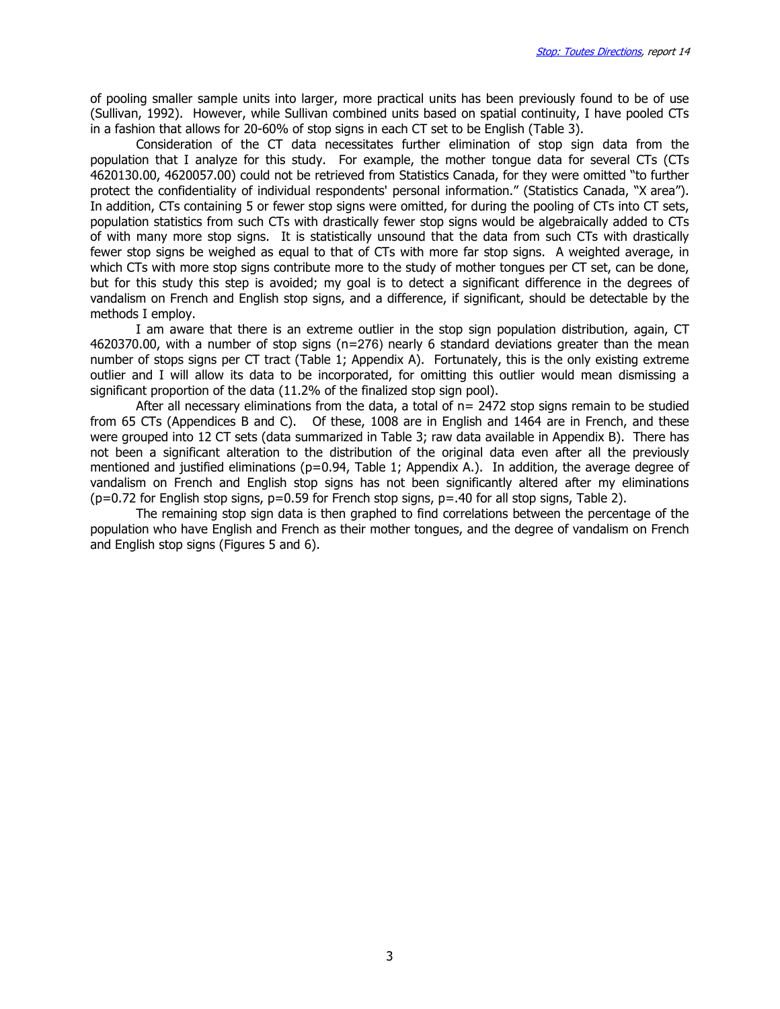of pooling smaller sample units into larger, more practical units has been previously found to be of use (Sullivan, 1992). However, while Sullivan combined units based on spatial continuity, I have pooled CTs in a fashion that allows for 20-60% of stop signs in each CT set to be English (Table 3).

 Consideration of the CT data necessitates further elimination of stop sign data from the population that I analyze for this study. For example, the mother tongue data for several CTs (CTs 4620130.00, 4620057.00) could not be retrieved from Statistics Canada, for they were omitted "to further protect the confidentiality of individual respondents' personal information." (Statistics Canada, "X area"). In addition, CTs containing 5 or fewer stop signs were omitted, for during the pooling of CTs into CT sets, population statistics from such CTs with drastically fewer stop signs would be algebraically added to CTs of with many more stop signs. It is statistically unsound that the data from such CTs with drastically fewer stop signs be weighed as equal to that of CTs with more far stop signs. A weighted average, in which CTs with more stop signs contribute more to the study of mother tongues per CT set, can be done, but for this study this step is avoided; my goal is to detect a significant difference in the degrees of vandalism on French and English stop signs, and a difference, if significant, should be detectable by the methods I employ.

I am aware that there is an extreme outlier in the stop sign population distribution, again, CT 4620370.00, with a number of stop signs (n=276) nearly 6 standard deviations greater than the mean number of stops signs per CT tract (Table 1; Appendix A). Fortunately, this is the only existing extreme outlier and I will allow its data to be incorporated, for omitting this outlier would mean dismissing a significant proportion of the data (11.2% of the finalized stop sign pool).

 After all necessary eliminations from the data, a total of n= 2472 stop signs remain to be studied from 65 CTs (Appendices B and C). Of these, 1008 are in English and 1464 are in French, and these were grouped into 12 CT sets (data summarized in Table 3; raw data available in Appendix B). There has not been a significant alteration to the distribution of the original data even after all the previously mentioned and justified eliminations ( $p=0.94$ , Table 1; Appendix A.). In addition, the average degree of vandalism on French and English stop signs has not been significantly altered after my eliminations  $(p=0.72$  for English stop signs,  $p=0.59$  for French stop signs,  $p=.40$  for all stop signs, Table 2).

The remaining stop sign data is then graphed to find correlations between the percentage of the population who have English and French as their mother tongues, and the degree of vandalism on French and English stop signs (Figures 5 and 6).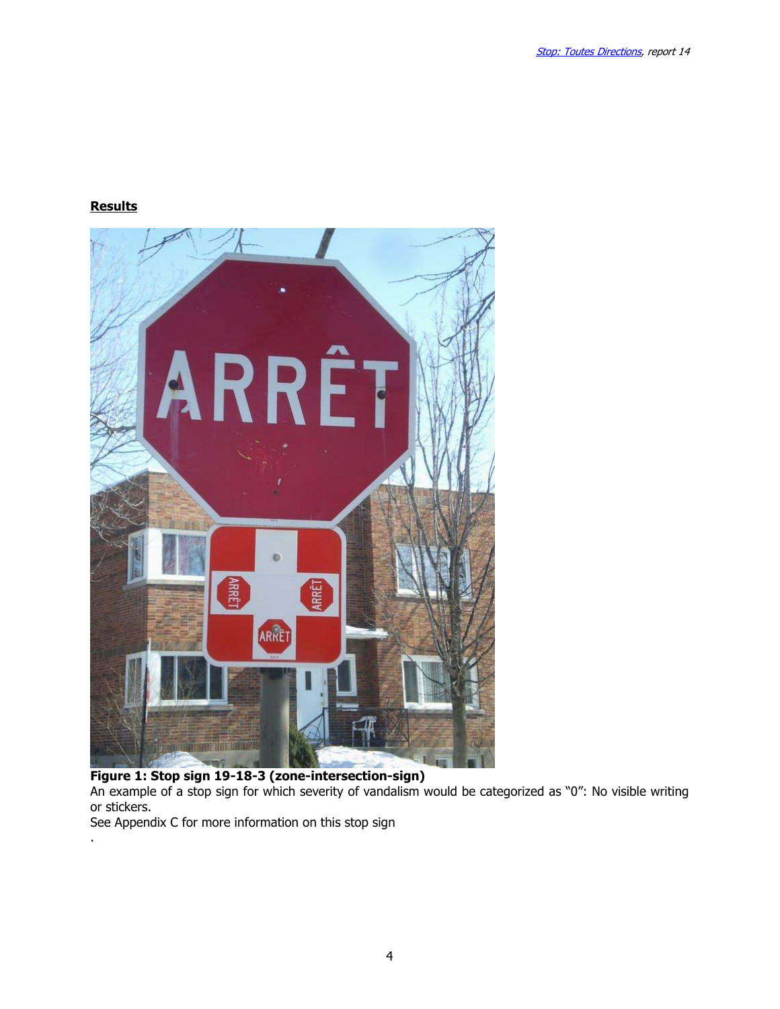# **Results**

.



An example of a stop sign for which severity of vandalism would be categorized as "0": No visible writing or stickers.

See Appendix C for more information on this stop sign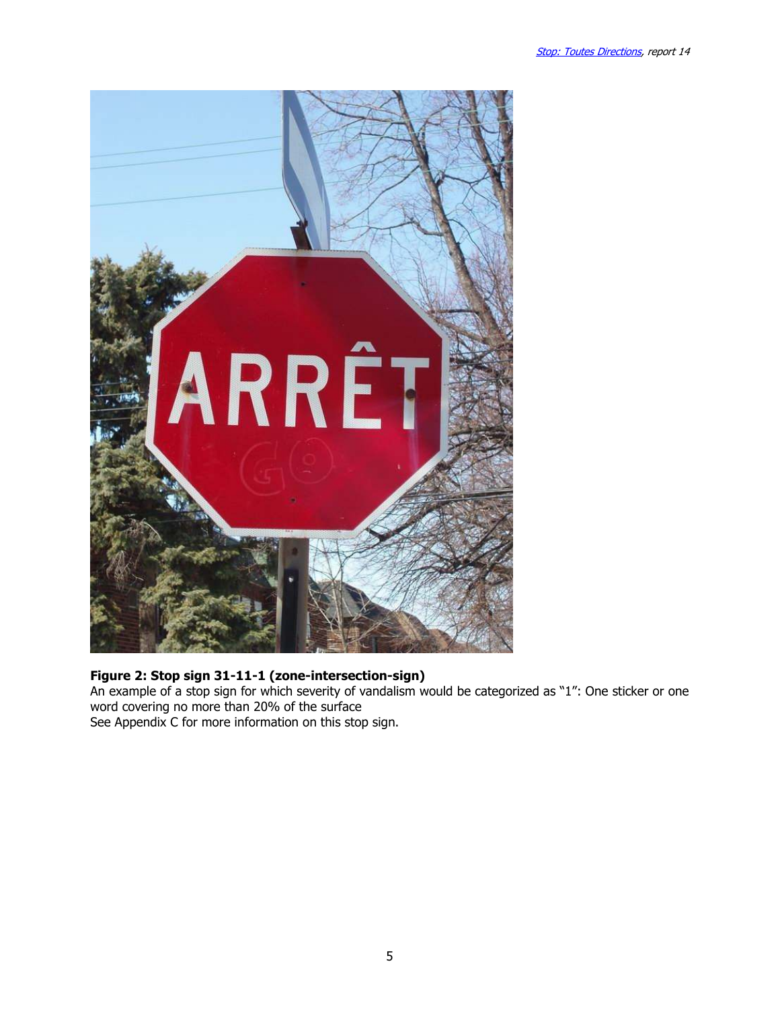

# Figure 2: Stop sign 31-11-1 (zone-intersection-sign)

An example of a stop sign for which severity of vandalism would be categorized as "1": One sticker or one word covering no more than 20% of the surface See Appendix C for more information on this stop sign.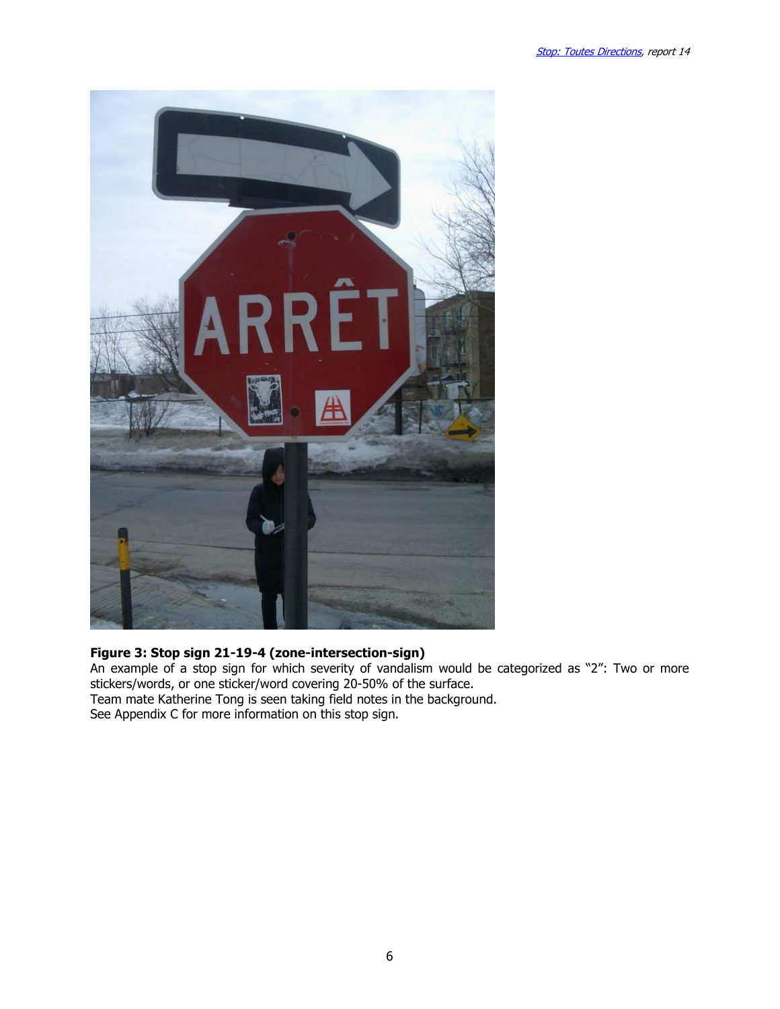

# Figure 3: Stop sign 21-19-4 (zone-intersection-sign)

An example of a stop sign for which severity of vandalism would be categorized as "2": Two or more stickers/words, or one sticker/word covering 20-50% of the surface. Team mate Katherine Tong is seen taking field notes in the background.

See Appendix C for more information on this stop sign.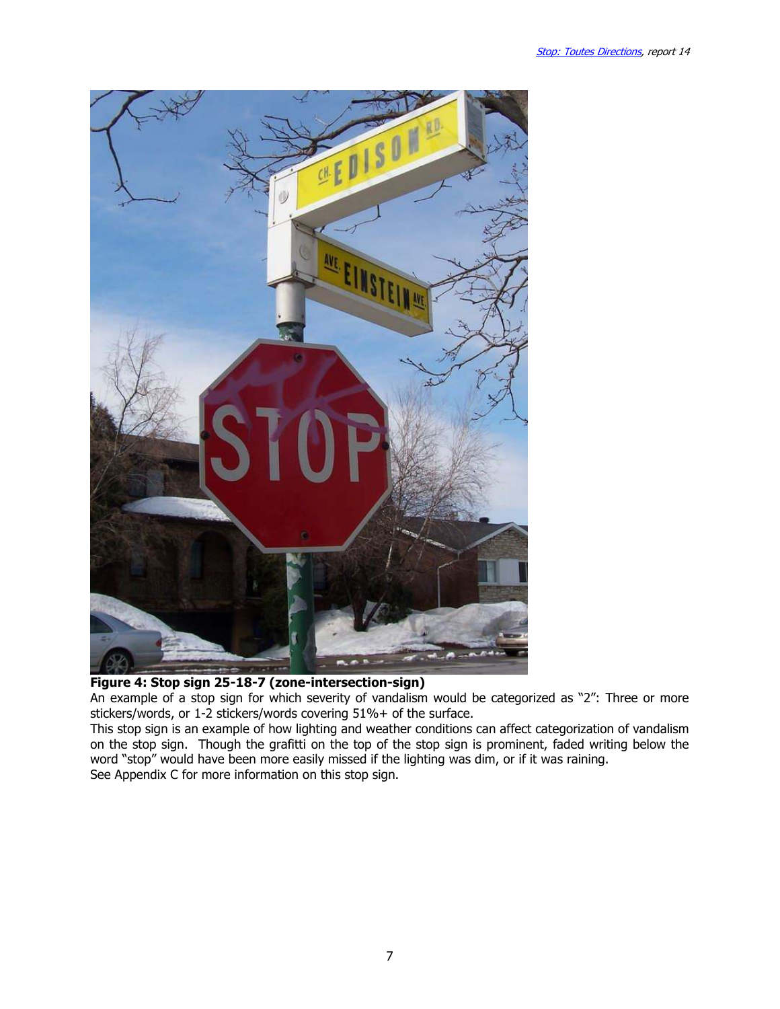



An example of a stop sign for which severity of vandalism would be categorized as "2": Three or more stickers/words, or 1-2 stickers/words covering 51%+ of the surface.

This stop sign is an example of how lighting and weather conditions can affect categorization of vandalism on the stop sign. Though the grafitti on the top of the stop sign is prominent, faded writing below the word "stop" would have been more easily missed if the lighting was dim, or if it was raining. See Appendix C for more information on this stop sign.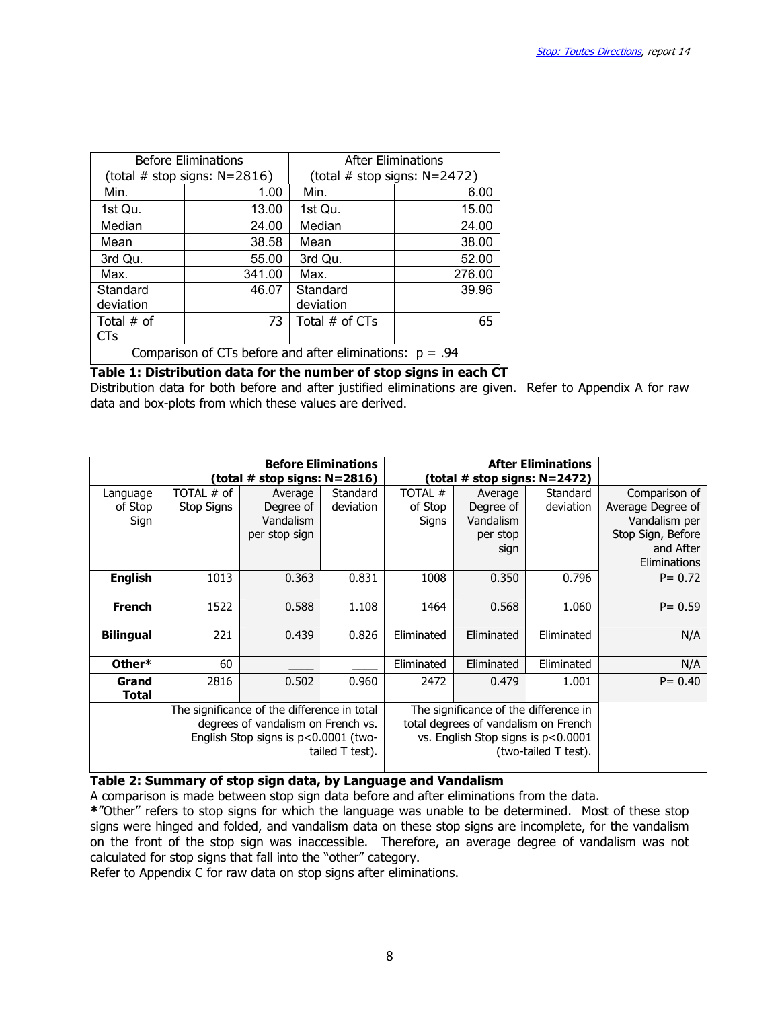|                                                            | <b>Before Eliminations</b>        | <b>After Eliminations</b>         |        |  |  |  |
|------------------------------------------------------------|-----------------------------------|-----------------------------------|--------|--|--|--|
|                                                            | (total $#$ stop signs: $N=2816$ ) | (total $#$ stop signs: $N=2472$ ) |        |  |  |  |
| Min.                                                       | 1.00                              | Min.                              | 6.00   |  |  |  |
| 1st Qu.                                                    | 13.00                             | 1st Qu.                           | 15.00  |  |  |  |
| Median                                                     | 24.00                             | Median                            | 24.00  |  |  |  |
| Mean                                                       | 38.58                             | Mean                              | 38.00  |  |  |  |
| 3rd Qu.                                                    | 55.00                             | 3rd Qu.                           | 52.00  |  |  |  |
| Max.                                                       | 341.00                            | Max.                              | 276.00 |  |  |  |
| Standard                                                   | 46.07                             | Standard                          | 39.96  |  |  |  |
| deviation                                                  |                                   | deviation                         |        |  |  |  |
| Total $#$ of                                               | 73                                | Total $#$ of CTs                  | 65     |  |  |  |
| CTs                                                        |                                   |                                   |        |  |  |  |
| Comparison of CTs before and after eliminations: $p = .94$ |                                   |                                   |        |  |  |  |

### Table 1: Distribution data for the number of stop signs in each CT

Distribution data for both before and after justified eliminations are given. Refer to Appendix A for raw data and box-plots from which these values are derived.

|                  |            |                                             | <b>Before Eliminations</b> |            | <b>After Eliminations</b>             |                      |                   |
|------------------|------------|---------------------------------------------|----------------------------|------------|---------------------------------------|----------------------|-------------------|
|                  |            | (total # stop signs: N=2816)                |                            |            | (total # stop signs: N=2472)          |                      |                   |
| Language         | TOTAL # of | Average                                     | Standard                   | TOTAL #    | Average                               | Standard             | Comparison of     |
| of Stop          | Stop Signs | Degree of                                   | deviation                  | of Stop    | Degree of                             | deviation            | Average Degree of |
| Sign             |            | Vandalism                                   |                            | Signs      | Vandalism                             |                      | Vandalism per     |
|                  |            | per stop sign                               |                            |            | per stop                              |                      | Stop Sign, Before |
|                  |            |                                             |                            |            | sign                                  |                      | and After         |
|                  |            |                                             |                            |            |                                       |                      | Eliminations      |
| <b>English</b>   | 1013       | 0.363                                       | 0.831                      | 1008       | 0.350                                 | 0.796                | $P = 0.72$        |
|                  |            |                                             |                            |            |                                       |                      |                   |
| <b>French</b>    | 1522       | 0.588                                       | 1.108                      | 1464       | 0.568                                 | 1.060                | $P = 0.59$        |
|                  |            |                                             |                            |            |                                       |                      |                   |
| <b>Bilingual</b> | 221        | 0.439                                       | 0.826                      | Eliminated | Eliminated                            | Eliminated           | N/A               |
|                  |            |                                             |                            |            |                                       |                      |                   |
| Other*           | 60         |                                             |                            | Eliminated | Eliminated                            | Eliminated           | N/A               |
| Grand            | 2816       | 0.502                                       | 0.960                      | 2472       | 0.479                                 | 1.001                | $P = 0.40$        |
| <b>Total</b>     |            |                                             |                            |            |                                       |                      |                   |
|                  |            | The significance of the difference in total |                            |            | The significance of the difference in |                      |                   |
|                  |            | degrees of vandalism on French vs.          |                            |            | total degrees of vandalism on French  |                      |                   |
|                  |            | English Stop signs is p<0.0001 (two-        |                            |            | vs. English Stop signs is p<0.0001    |                      |                   |
|                  |            |                                             | tailed T test).            |            |                                       | (two-tailed T test). |                   |
|                  |            |                                             |                            |            |                                       |                      |                   |

### Table 2: Summary of stop sign data, by Language and Vandalism

A comparison is made between stop sign data before and after eliminations from the data.

\*"Other" refers to stop signs for which the language was unable to be determined. Most of these stop signs were hinged and folded, and vandalism data on these stop signs are incomplete, for the vandalism on the front of the stop sign was inaccessible. Therefore, an average degree of vandalism was not calculated for stop signs that fall into the "other" category.

Refer to Appendix C for raw data on stop signs after eliminations.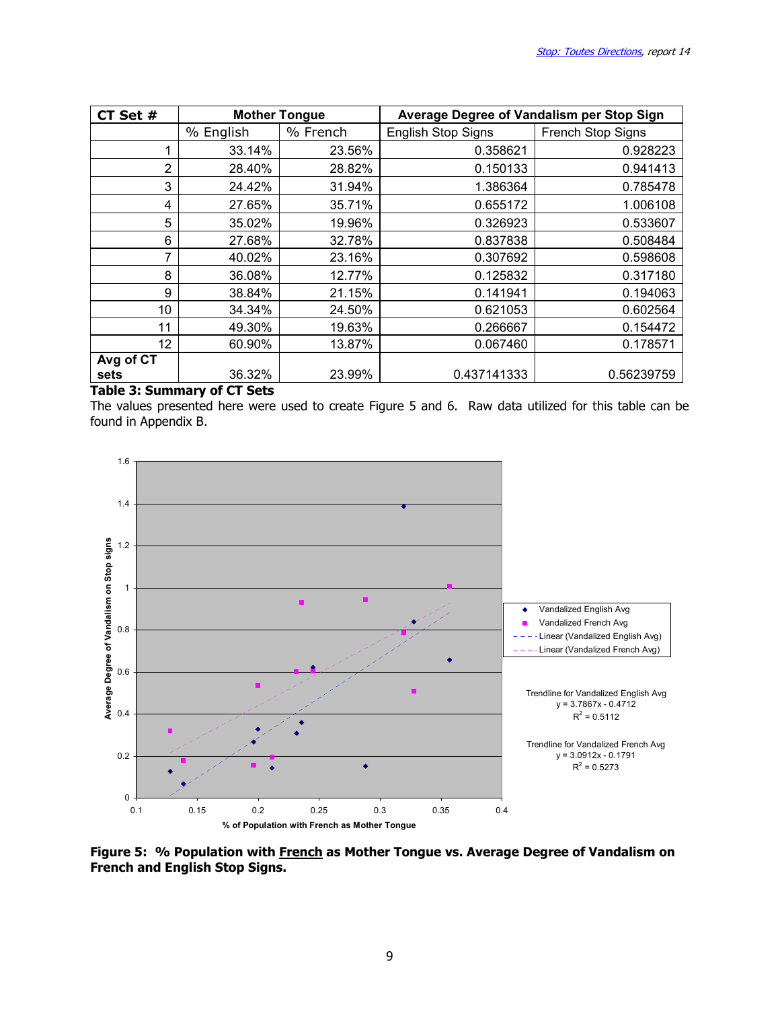| CT Set #  | <b>Mother Tongue</b> |          | Average Degree of Vandalism per Stop Sign |                   |  |  |  |
|-----------|----------------------|----------|-------------------------------------------|-------------------|--|--|--|
|           | % English            | % French | <b>English Stop Signs</b>                 | French Stop Signs |  |  |  |
|           | 33.14%               | 23.56%   | 0.358621                                  | 0.928223          |  |  |  |
| 2         | 28.40%               | 28.82%   | 0.150133                                  | 0.941413          |  |  |  |
| 3         | 24.42%               | 31.94%   | 1.386364                                  | 0.785478          |  |  |  |
| 4         | 27.65%               | 35.71%   | 0.655172                                  | 1.006108          |  |  |  |
| 5         | 35.02%               | 19.96%   | 0.326923                                  | 0.533607          |  |  |  |
| 6         | 27.68%               | 32.78%   | 0.837838                                  | 0.508484          |  |  |  |
| 7         | 40.02%               | 23.16%   | 0.307692                                  | 0.598608          |  |  |  |
| 8         | 36.08%               | 12.77%   | 0.125832                                  | 0.317180          |  |  |  |
| 9         | 38.84%               | 21.15%   | 0.141941                                  | 0.194063          |  |  |  |
| 10        | 34.34%               | 24.50%   | 0.621053                                  | 0.602564          |  |  |  |
| 11        | 49.30%               | 19.63%   | 0.266667                                  | 0.154472          |  |  |  |
| 12        | 60.90%               | 13.87%   | 0.067460                                  | 0.178571          |  |  |  |
| Avg of CT |                      |          |                                           |                   |  |  |  |
| sets      | 36.32%               | 23.99%   | 0.437141333                               | 0.56239759        |  |  |  |

#### Table 3: Summary of CT Sets

The values presented here were used to create Figure 5 and 6. Raw data utilized for this table can be found in Appendix B.



Figure 5: % Population with French as Mother Tongue vs. Average Degree of Vandalism on French and English Stop Signs.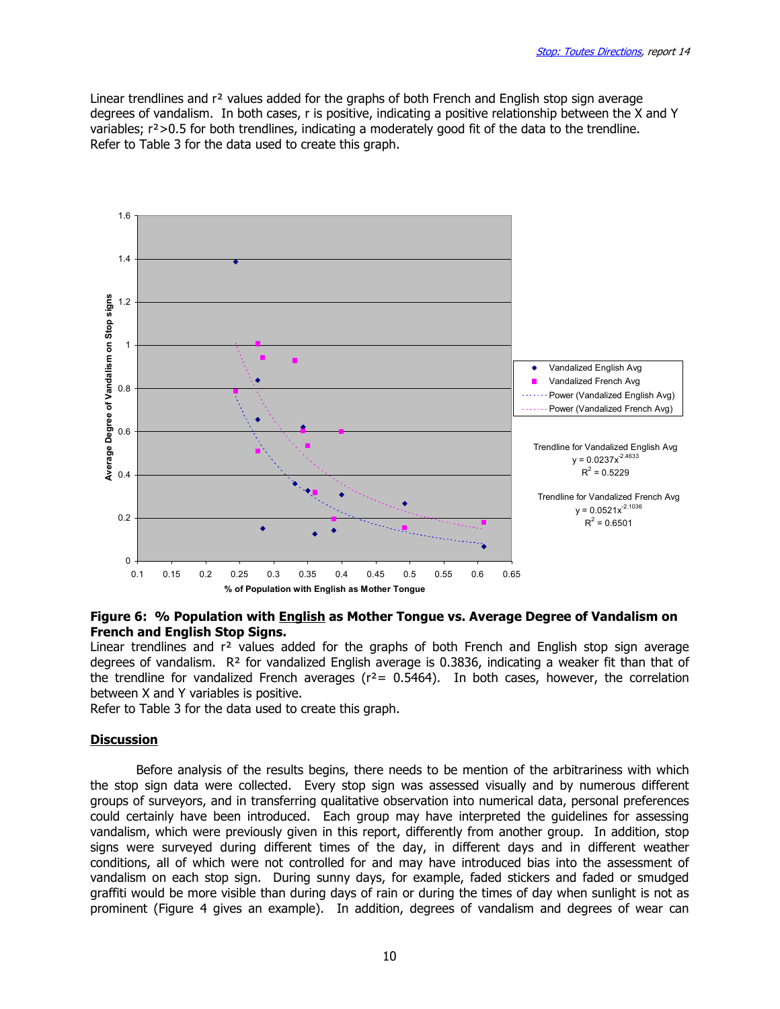Linear trendlines and r<sup>2</sup> values added for the graphs of both French and English stop sign average degrees of vandalism. In both cases, r is positive, indicating a positive relationship between the X and Y variables; r²>0.5 for both trendlines, indicating a moderately good fit of the data to the trendline. Refer to Table 3 for the data used to create this graph.



#### Figure 6: % Population with **English as Mother Tongue vs. Average Degree of Vandalism on** French and English Stop Signs.

Linear trendlines and  $r<sup>2</sup>$  values added for the graphs of both French and English stop sign average degrees of vandalism. R² for vandalized English average is 0.3836, indicating a weaker fit than that of the trendline for vandalized French averages ( $r^2$  = 0.5464). In both cases, however, the correlation between X and Y variables is positive.

Refer to Table 3 for the data used to create this graph.

#### **Discussion**

 Before analysis of the results begins, there needs to be mention of the arbitrariness with which the stop sign data were collected. Every stop sign was assessed visually and by numerous different groups of surveyors, and in transferring qualitative observation into numerical data, personal preferences could certainly have been introduced. Each group may have interpreted the guidelines for assessing vandalism, which were previously given in this report, differently from another group. In addition, stop signs were surveyed during different times of the day, in different days and in different weather conditions, all of which were not controlled for and may have introduced bias into the assessment of vandalism on each stop sign. During sunny days, for example, faded stickers and faded or smudged graffiti would be more visible than during days of rain or during the times of day when sunlight is not as prominent (Figure 4 gives an example). In addition, degrees of vandalism and degrees of wear can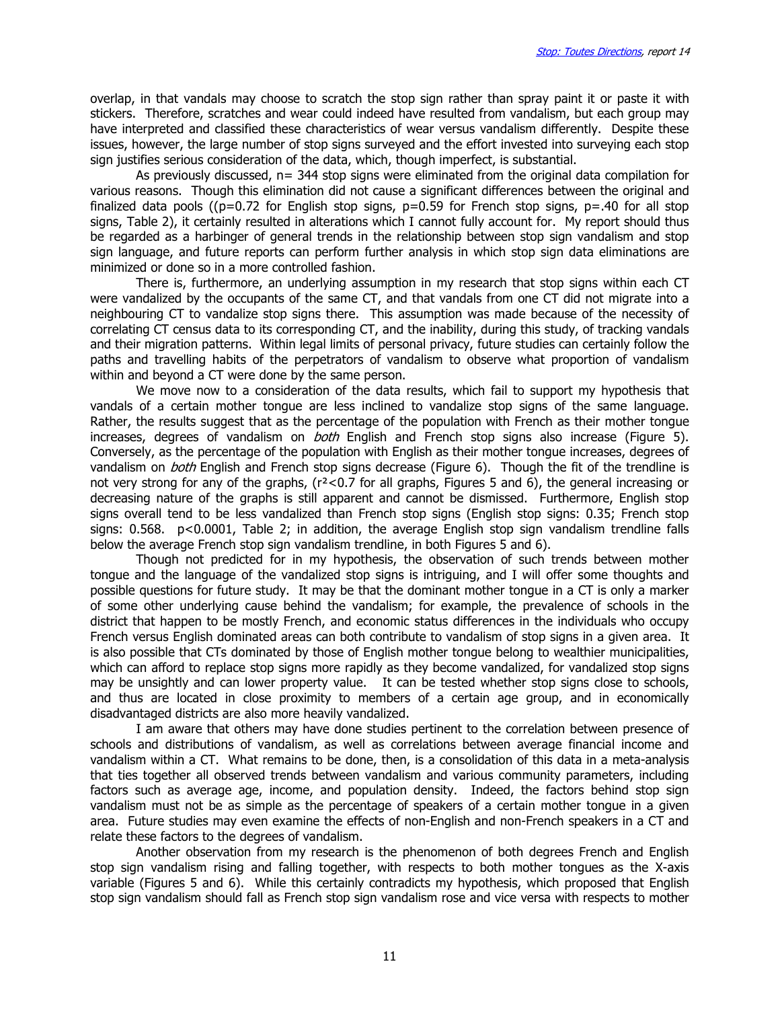overlap, in that vandals may choose to scratch the stop sign rather than spray paint it or paste it with stickers. Therefore, scratches and wear could indeed have resulted from vandalism, but each group may have interpreted and classified these characteristics of wear versus vandalism differently. Despite these issues, however, the large number of stop signs surveyed and the effort invested into surveying each stop sign justifies serious consideration of the data, which, though imperfect, is substantial.

As previously discussed, n= 344 stop signs were eliminated from the original data compilation for various reasons. Though this elimination did not cause a significant differences between the original and finalized data pools (( $p=0.72$  for English stop signs,  $p=0.59$  for French stop signs,  $p=.40$  for all stop signs, Table 2), it certainly resulted in alterations which I cannot fully account for. My report should thus be regarded as a harbinger of general trends in the relationship between stop sign vandalism and stop sign language, and future reports can perform further analysis in which stop sign data eliminations are minimized or done so in a more controlled fashion.

There is, furthermore, an underlying assumption in my research that stop signs within each CT were vandalized by the occupants of the same CT, and that vandals from one CT did not migrate into a neighbouring CT to vandalize stop signs there. This assumption was made because of the necessity of correlating CT census data to its corresponding CT, and the inability, during this study, of tracking vandals and their migration patterns. Within legal limits of personal privacy, future studies can certainly follow the paths and travelling habits of the perpetrators of vandalism to observe what proportion of vandalism within and beyond a CT were done by the same person.

 We move now to a consideration of the data results, which fail to support my hypothesis that vandals of a certain mother tongue are less inclined to vandalize stop signs of the same language. Rather, the results suggest that as the percentage of the population with French as their mother tongue increases, degrees of vandalism on *both* English and French stop signs also increase (Figure 5). Conversely, as the percentage of the population with English as their mother tongue increases, degrees of vandalism on *both* English and French stop signs decrease (Figure 6). Though the fit of the trendline is not very strong for any of the graphs, (r²<0.7 for all graphs, Figures 5 and 6), the general increasing or decreasing nature of the graphs is still apparent and cannot be dismissed. Furthermore, English stop signs overall tend to be less vandalized than French stop signs (English stop signs: 0.35; French stop signs: 0.568. p<0.0001, Table 2; in addition, the average English stop sign vandalism trendline falls below the average French stop sign vandalism trendline, in both Figures 5 and 6).

 Though not predicted for in my hypothesis, the observation of such trends between mother tongue and the language of the vandalized stop signs is intriguing, and I will offer some thoughts and possible questions for future study. It may be that the dominant mother tongue in a CT is only a marker of some other underlying cause behind the vandalism; for example, the prevalence of schools in the district that happen to be mostly French, and economic status differences in the individuals who occupy French versus English dominated areas can both contribute to vandalism of stop signs in a given area. It is also possible that CTs dominated by those of English mother tongue belong to wealthier municipalities, which can afford to replace stop signs more rapidly as they become vandalized, for vandalized stop signs may be unsightly and can lower property value. It can be tested whether stop signs close to schools, and thus are located in close proximity to members of a certain age group, and in economically disadvantaged districts are also more heavily vandalized.

 I am aware that others may have done studies pertinent to the correlation between presence of schools and distributions of vandalism, as well as correlations between average financial income and vandalism within a CT. What remains to be done, then, is a consolidation of this data in a meta-analysis that ties together all observed trends between vandalism and various community parameters, including factors such as average age, income, and population density. Indeed, the factors behind stop sign vandalism must not be as simple as the percentage of speakers of a certain mother tongue in a given area. Future studies may even examine the effects of non-English and non-French speakers in a CT and relate these factors to the degrees of vandalism.

 Another observation from my research is the phenomenon of both degrees French and English stop sign vandalism rising and falling together, with respects to both mother tongues as the X-axis variable (Figures 5 and 6). While this certainly contradicts my hypothesis, which proposed that English stop sign vandalism should fall as French stop sign vandalism rose and vice versa with respects to mother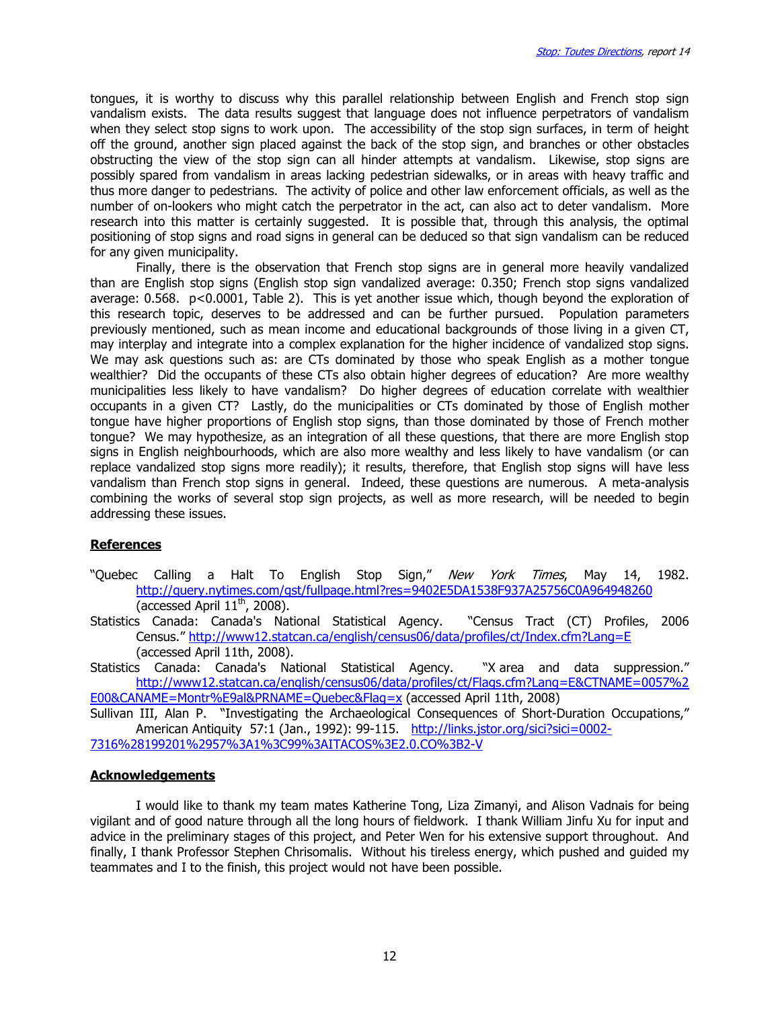tongues, it is worthy to discuss why this parallel relationship between English and French stop sign vandalism exists. The data results suggest that language does not influence perpetrators of vandalism when they select stop signs to work upon. The accessibility of the stop sign surfaces, in term of height off the ground, another sign placed against the back of the stop sign, and branches or other obstacles obstructing the view of the stop sign can all hinder attempts at vandalism. Likewise, stop signs are possibly spared from vandalism in areas lacking pedestrian sidewalks, or in areas with heavy traffic and thus more danger to pedestrians. The activity of police and other law enforcement officials, as well as the number of on-lookers who might catch the perpetrator in the act, can also act to deter vandalism. More research into this matter is certainly suggested. It is possible that, through this analysis, the optimal positioning of stop signs and road signs in general can be deduced so that sign vandalism can be reduced for any given municipality.

 Finally, there is the observation that French stop signs are in general more heavily vandalized than are English stop signs (English stop sign vandalized average: 0.350; French stop signs vandalized average: 0.568. p<0.0001, Table 2). This is yet another issue which, though beyond the exploration of this research topic, deserves to be addressed and can be further pursued. Population parameters previously mentioned, such as mean income and educational backgrounds of those living in a given CT, may interplay and integrate into a complex explanation for the higher incidence of vandalized stop signs. We may ask questions such as: are CTs dominated by those who speak English as a mother tongue wealthier? Did the occupants of these CTs also obtain higher degrees of education? Are more wealthy municipalities less likely to have vandalism? Do higher degrees of education correlate with wealthier occupants in a given CT? Lastly, do the municipalities or CTs dominated by those of English mother tongue have higher proportions of English stop signs, than those dominated by those of French mother tongue? We may hypothesize, as an integration of all these questions, that there are more English stop signs in English neighbourhoods, which are also more wealthy and less likely to have vandalism (or can replace vandalized stop signs more readily); it results, therefore, that English stop signs will have less vandalism than French stop signs in general. Indeed, these questions are numerous. A meta-analysis combining the works of several stop sign projects, as well as more research, will be needed to begin addressing these issues.

### **References**

- "Quebec Calling a Halt To English Stop Sign," New York Times, May 14, 1982. http://query.nytimes.com/gst/fullpage.html?res=9402E5DA1538F937A25756C0A964948260 (accessed April  $11<sup>th</sup>$ , 2008).
- Statistics Canada: Canada's National Statistical Agency. "Census Tract (CT) Profiles, 2006 Census." http://www12.statcan.ca/english/census06/data/profiles/ct/Index.cfm?Lang=E (accessed April 11th, 2008).
- Statistics Canada: Canada's National Statistical Agency. "X area and data suppression." http://www12.statcan.ca/english/census06/data/profiles/ct/Flags.cfm?Lang=E&CTNAME=0057%2 E00&CANAME=Montr%E9al&PRNAME=Quebec&Flag=x (accessed April 11th, 2008)

Sullivan III, Alan P. "Investigating the Archaeological Consequences of Short-Duration Occupations," American Antiquity 57:1 (Jan., 1992): 99-115. http://links.jstor.org/sici?sici=0002-

7316%28199201%2957%3A1%3C99%3AITACOS%3E2.0.CO%3B2-V

#### **Acknowledgements**

 I would like to thank my team mates Katherine Tong, Liza Zimanyi, and Alison Vadnais for being vigilant and of good nature through all the long hours of fieldwork. I thank William Jinfu Xu for input and advice in the preliminary stages of this project, and Peter Wen for his extensive support throughout. And finally, I thank Professor Stephen Chrisomalis. Without his tireless energy, which pushed and guided my teammates and I to the finish, this project would not have been possible.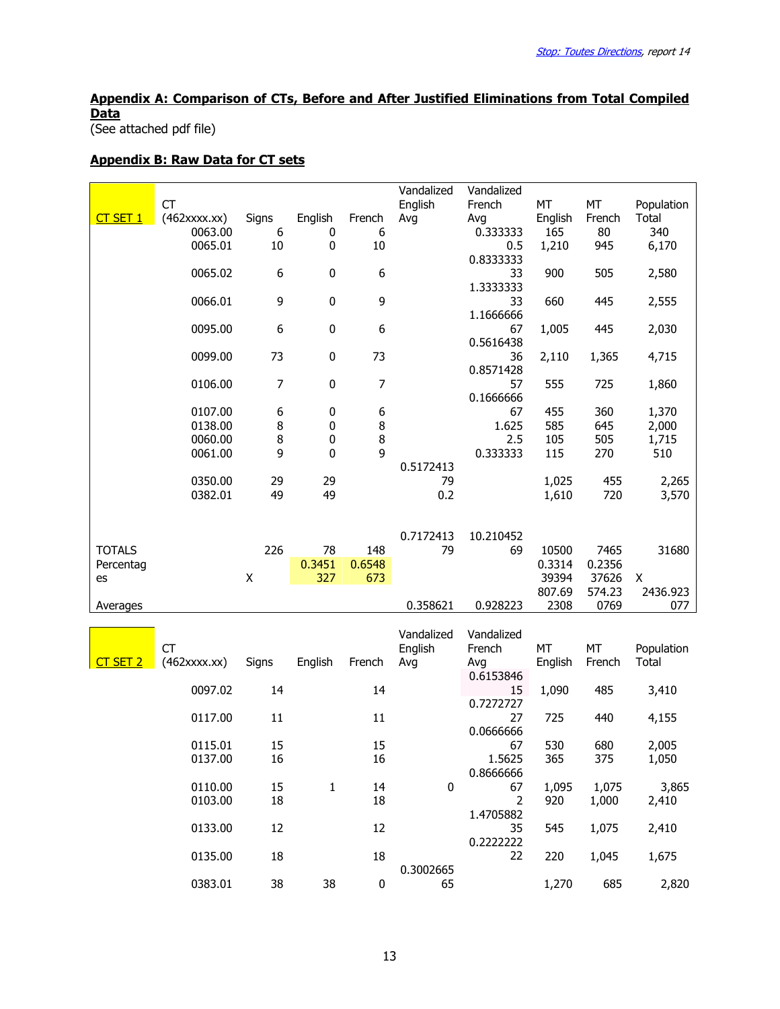# Appendix A: Comparison of CTs, Before and After Justified Eliminations from Total Compiled **Data**

(See attached pdf file)

#### Appendix B: Raw Data for CT sets

|               |                    |                    |               |        | Vandalized      | Vandalized     |         |        |              |
|---------------|--------------------|--------------------|---------------|--------|-----------------|----------------|---------|--------|--------------|
|               | <b>CT</b>          |                    |               |        | English         | French         | MT      | MT     | Population   |
| CT SET 1      | $(462$ xxxx.xx $)$ | Signs              | English       | French | Avg             | Avg            | English | French | Total        |
|               | 0063.00            | 6                  | 0             | 6      |                 | 0.333333       | 165     | 80     | 340          |
|               | 0065.01            | 10                 | 0             | 10     |                 | 0.5            | 1,210   | 945    | 6,170        |
|               |                    |                    |               |        |                 | 0.8333333      |         |        |              |
|               | 0065.02            | 6                  | $\pmb{0}$     | 6      |                 | 33             | 900     | 505    | 2,580        |
|               |                    |                    |               |        |                 | 1.3333333      |         |        |              |
|               | 0066.01            | 9                  | 0             | 9      |                 | 33             | 660     | 445    | 2,555        |
|               |                    |                    |               |        |                 | 1.1666666      |         |        |              |
|               | 0095.00            | 6                  | 0             | 6      |                 | 67             | 1,005   | 445    | 2,030        |
|               |                    |                    |               |        |                 | 0.5616438      |         |        |              |
|               | 0099.00            | 73                 | 0             | 73     |                 | 36             | 2,110   | 1,365  | 4,715        |
|               |                    |                    |               |        |                 | 0.8571428      |         |        |              |
|               | 0106.00            | 7                  | 0             | 7      |                 | 57             | 555     | 725    | 1,860        |
|               |                    |                    |               |        |                 | 0.1666666      |         |        |              |
|               | 0107.00            | 6                  | 0             | 6      |                 | 67             | 455     | 360    | 1,370        |
|               | 0138.00            | 8                  | 0             | 8      |                 | 1.625          | 585     | 645    | 2,000        |
|               | 0060.00            | 8                  | 0             | 8      |                 | 2.5            | 105     | 505    | 1,715        |
|               | 0061.00            | 9                  | 0             | 9      |                 | 0.333333       | 115     | 270    | 510          |
|               |                    |                    |               |        | 0.5172413       |                |         |        |              |
|               | 0350.00            | 29                 | 29            |        | 79              |                | 1,025   | 455    | 2,265        |
|               | 0382.01            | 49                 | 49            |        | 0.2             |                | 1,610   | 720    | 3,570        |
|               |                    |                    |               |        |                 |                |         |        |              |
|               |                    |                    |               |        | 0.7172413       | 10.210452      |         |        |              |
| <b>TOTALS</b> |                    | 226                | 78            | 148    | 79              | 69             | 10500   | 7465   | 31680        |
| Percentag     |                    | $\pmb{\mathsf{X}}$ | 0.3451<br>327 | 0.6548 |                 |                | 0.3314  | 0.2356 |              |
| es            |                    |                    |               |        |                 |                |         |        |              |
|               |                    |                    |               | 673    |                 |                | 39394   | 37626  | X            |
|               |                    |                    |               |        |                 |                | 807.69  | 574.23 | 2436.923     |
| Averages      |                    |                    |               |        | 0.358621        | 0.928223       | 2308    | 0769   | 077          |
|               |                    |                    |               |        |                 |                |         |        |              |
|               |                    |                    |               |        | Vandalized      | Vandalized     |         |        |              |
|               | <b>CT</b>          |                    |               |        | English         | French         | MT      | MT     | Population   |
| CT SET 2      | $(462$ xxxx.xx $)$ | Signs              | English       | French | Avg             | Avg            | English | French | <b>Total</b> |
|               |                    |                    |               |        |                 | 0.6153846      |         |        |              |
|               | 0097.02            | 14                 |               | 14     |                 | 15             | 1,090   | 485    | 3,410        |
|               |                    |                    |               |        |                 | 0.7272727      |         |        |              |
|               | 0117.00            | 11                 |               | 11     |                 | 27             | 725     | 440    | 4,155        |
|               |                    |                    |               |        |                 | 0.0666666      |         |        |              |
|               | 0115.01            | 15                 |               | 15     |                 | 67             | 530     | 680    | 2,005        |
|               | 0137.00            | 16                 |               | 16     |                 | 1.5625         | 365     | 375    | 1,050        |
|               |                    |                    |               |        |                 | 0.8666666      |         |        |              |
|               | 0110.00            | 15                 | $\mathbf{1}$  | 14     | $\pmb{0}$       | 67             | 1,095   | 1,075  | 3,865        |
|               | 0103.00            | 18                 |               | 18     |                 | $\overline{2}$ | 920     | 1,000  | 2,410        |
|               |                    |                    |               |        |                 | 1.4705882      |         |        |              |
|               | 0133.00            | 12                 |               | 12     |                 | 35             | 545     | 1,075  | 2,410        |
|               |                    |                    |               |        |                 | 0.2222222      |         |        |              |
|               | 0135.00            | 18                 |               | 18     |                 | 22             | 220     | 1,045  | 1,675        |
|               | 0383.01            | 38                 | 38            | 0      | 0.3002665<br>65 |                | 1,270   | 685    | 2,820        |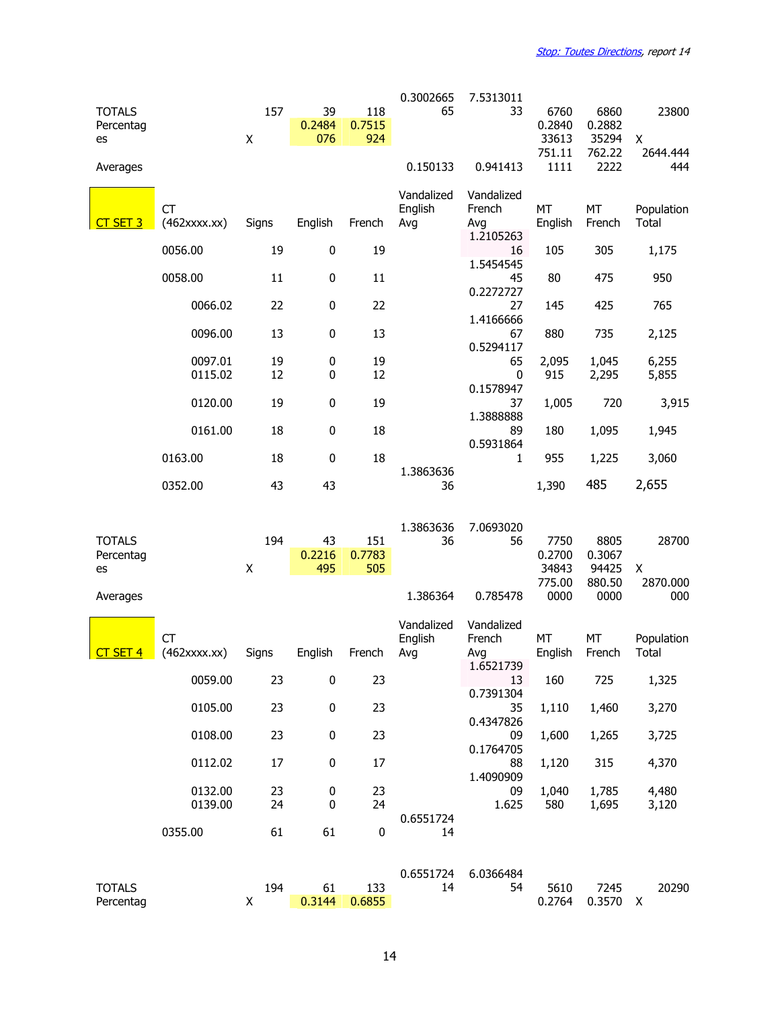| <b>TOTALS</b><br>Percentag<br>es |                                 | 157<br>X | 39<br>0.2484<br>076 | 118<br>0.7515<br>924 | 0.3002665<br>65              | 7.5313011<br>33                          | 6760<br>0.2840<br>33613 | 6860<br>0.2882<br>35294 | 23800<br>X                 |
|----------------------------------|---------------------------------|----------|---------------------|----------------------|------------------------------|------------------------------------------|-------------------------|-------------------------|----------------------------|
| Averages                         |                                 |          |                     |                      | 0.150133                     | 0.941413                                 | 751.11<br>1111          | 762.22<br>2222          | 2644.444<br>444            |
| $CT$ SET 3                       | <b>CT</b><br>$(462$ xxxx.xx $)$ | Signs    | English             | French               | Vandalized<br>English<br>Avg | Vandalized<br>French<br>Avg<br>1.2105263 | MT<br>English           | MT<br>French            | Population<br><b>Total</b> |
|                                  | 0056.00                         | 19       | 0                   | 19                   |                              | 16                                       | 105                     | 305                     | 1,175                      |
|                                  | 0058.00                         | 11       | $\pmb{0}$           | 11                   |                              | 1.5454545<br>45                          | 80                      | 475                     | 950                        |
|                                  | 0066.02                         | 22       | 0                   | 22                   |                              | 0.2272727<br>27                          | 145                     | 425                     | 765                        |
|                                  | 0096.00                         | 13       | 0                   | 13                   |                              | 1.4166666<br>67<br>0.5294117             | 880                     | 735                     | 2,125                      |
|                                  | 0097.01                         | 19       | 0                   | 19                   |                              | 65                                       | 2,095                   | 1,045                   | 6,255                      |
|                                  | 0115.02                         | 12       | 0                   | 12                   |                              | 0<br>0.1578947                           | 915                     | 2,295                   | 5,855                      |
|                                  | 0120.00                         | 19       | 0                   | 19                   |                              | 37<br>1.3888888                          | 1,005                   | 720                     | 3,915                      |
|                                  | 0161.00                         | 18       | 0                   | 18                   |                              | 89                                       | 180                     | 1,095                   | 1,945                      |
|                                  | 0163.00                         | 18       | 0                   | 18                   |                              | 0.5931864<br>1                           | 955                     | 1,225                   | 3,060                      |
|                                  | 0352.00                         | 43       | 43                  |                      | 1.3863636<br>36              |                                          | 1,390                   | 485                     | 2,655                      |
|                                  |                                 |          |                     |                      |                              |                                          |                         |                         |                            |
| <b>TOTALS</b><br>Percentag<br>es |                                 | 194<br>X | 43<br>0.2216<br>495 | 151<br>0.7783<br>505 | 1.3863636<br>36              | 7.0693020<br>56                          | 7750<br>0.2700<br>34843 | 8805<br>0.3067<br>94425 | 28700<br>X                 |
| Averages                         |                                 |          |                     |                      | 1.386364                     | 0.785478                                 | 775.00<br>0000          | 880.50<br>0000          | 2870.000<br>000            |
|                                  | СT                              |          |                     |                      | Vandalized                   | Vandalized                               |                         |                         |                            |
| CT SET 4                         | $(462$ xxxx.xx $)$              | Signs    | English             | French               | English<br>Avg               | French<br>Avg                            | MT<br>English           | MT<br>French            | Population<br>Total        |
|                                  | 0059.00                         | 23       | 0                   | 23                   |                              | 1.6521739<br>13                          | 160                     | 725                     | 1,325                      |
|                                  | 0105.00                         | 23       | 0                   | 23                   |                              | 0.7391304<br>35                          | 1,110                   | 1,460                   | 3,270                      |
|                                  | 0108.00                         | 23       | 0                   | 23                   |                              | 0.4347826<br>09                          | 1,600                   | 1,265                   | 3,725                      |
|                                  | 0112.02                         | 17       | 0                   | 17                   |                              | 0.1764705<br>88                          | 1,120                   | 315                     | 4,370                      |
|                                  | 0132.00<br>0139.00              | 23<br>24 | 0<br>0              | 23<br>24             |                              | 1.4090909<br>09<br>1.625                 | 1,040<br>580            | 1,785<br>1,695          | 4,480<br>3,120             |
|                                  | 0355.00                         | 61       | 61                  | $\pmb{0}$            | 0.6551724<br>14              |                                          |                         |                         |                            |
|                                  |                                 |          |                     |                      | 0.6551724                    | 6.0366484                                |                         |                         |                            |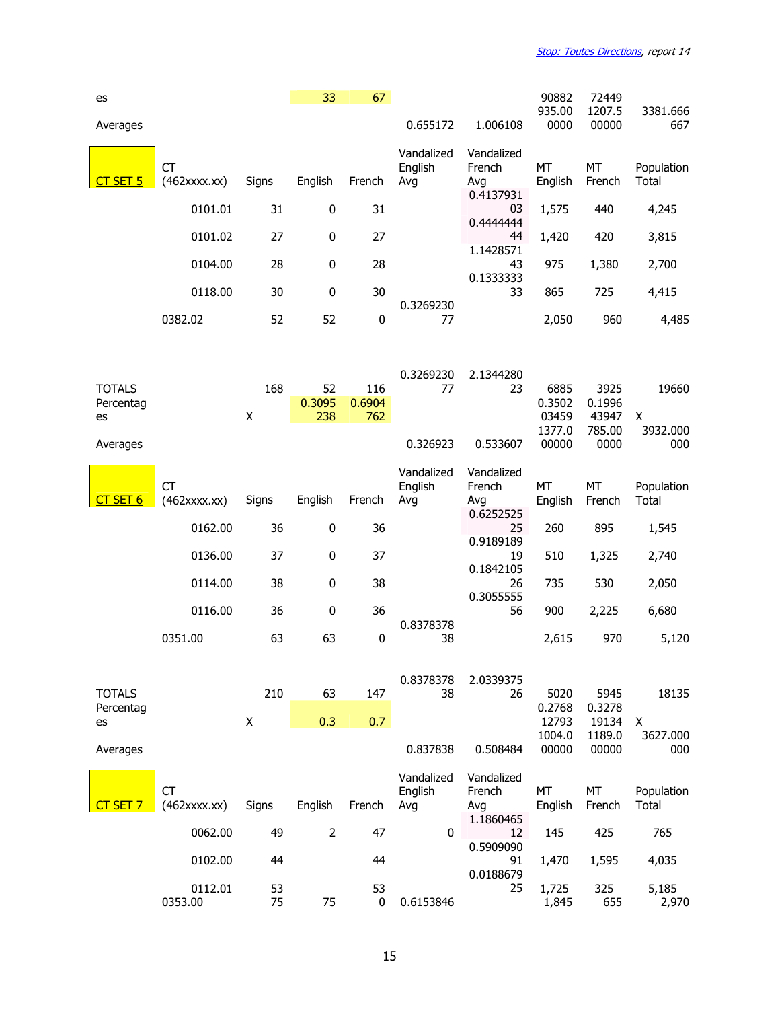| es                               |                                 |          | 33                  | 67                   |                              |                                          | 90882                             | 72449                             |                            |
|----------------------------------|---------------------------------|----------|---------------------|----------------------|------------------------------|------------------------------------------|-----------------------------------|-----------------------------------|----------------------------|
| Averages                         |                                 |          |                     |                      | 0.655172                     | 1.006108                                 | 935.00<br>0000                    | 1207.5<br>00000                   | 3381.666<br>667            |
| $CT$ SET 5                       | <b>CT</b><br>$(462$ xxxx.xx $)$ | Signs    | English             | French               | Vandalized<br>English<br>Avg | Vandalized<br>French<br>Avg              | <b>MT</b><br>English              | MT<br>French                      | Population<br>Total        |
|                                  | 0101.01                         | 31       | $\pmb{0}$           | 31                   |                              | 0.4137931<br>03                          | 1,575                             | 440                               | 4,245                      |
|                                  | 0101.02                         | 27       | $\pmb{0}$           | 27                   |                              | 0.4444444<br>44                          | 1,420                             | 420                               | 3,815                      |
|                                  | 0104.00                         | 28       | 0                   | 28                   |                              | 1.1428571<br>43                          | 975                               | 1,380                             | 2,700                      |
|                                  | 0118.00                         | 30       | $\pmb{0}$           | 30                   |                              | 0.1333333<br>33                          | 865                               | 725                               | 4,415                      |
|                                  | 0382.02                         | 52       | 52                  | $\pmb{0}$            | 0.3269230<br>77              |                                          | 2,050                             | 960                               | 4,485                      |
|                                  |                                 |          |                     |                      |                              |                                          |                                   |                                   |                            |
| <b>TOTALS</b><br>Percentag<br>es |                                 | 168<br>X | 52<br>0.3095<br>238 | 116<br>0.6904<br>762 | 0.3269230<br>77              | 2.1344280<br>23                          | 6885<br>0.3502<br>03459<br>1377.0 | 3925<br>0.1996<br>43947<br>785.00 | 19660<br>X<br>3932.000     |
| Averages                         |                                 |          |                     |                      | 0.326923                     | 0.533607                                 | 00000                             | 0000                              | 000                        |
| SET <sub>6</sub>                 | <b>CT</b><br>$(462$ xxxx.xx $)$ | Signs    | English             | French               | Vandalized<br>English<br>Avg | Vandalized<br>French<br>Avg<br>0.6252525 | MT<br>English                     | MT<br>French                      | Population<br><b>Total</b> |
|                                  | 0162.00                         | 36       | $\pmb{0}$           | 36                   |                              | 25<br>0.9189189                          | 260                               | 895                               | 1,545                      |
|                                  | 0136.00                         | 37       | $\pmb{0}$           | 37                   |                              | 19<br>0.1842105                          | 510                               | 1,325                             | 2,740                      |
|                                  | 0114.00                         | 38       | $\pmb{0}$           | 38                   |                              | 26<br>0.3055555                          | 735                               | 530                               | 2,050                      |
|                                  | 0116.00                         | 36       | $\pmb{0}$           | 36                   | 0.8378378                    | 56                                       | 900                               | 2,225                             | 6,680                      |
|                                  | 0351.00                         | 63       | 63                  | $\pmb{0}$            | 38                           |                                          | 2,615                             | 970                               | 5,120                      |
| <b>TOTALS</b><br>Percentag<br>es |                                 | 210<br>X | 63<br>0.3           | 147<br>0.7           | 0.8378378<br>38              | 2.0339375<br>26                          | 5020<br>0.2768<br>12793<br>1004.0 | 5945<br>0.3278<br>19134<br>1189.0 | 18135<br>X<br>3627.000     |
| Averages                         |                                 |          |                     |                      | 0.837838                     | 0.508484                                 | 00000                             | 00000                             | 000                        |
| T SET 7                          | <b>CT</b><br>$(462$ xxxx.xx $)$ | Signs    | English             | French               | Vandalized<br>English<br>Avg | Vandalized<br>French<br>Avg<br>1.1860465 | MT<br>English                     | MT<br>French                      | Population<br>Total        |
|                                  | 0062.00                         | 49       | $\overline{2}$      | 47                   | 0                            | 12<br>0.5909090                          | 145                               | 425                               | 765                        |
|                                  | 0102.00                         | 44       |                     | 44                   |                              | 91<br>0.0188679                          | 1,470                             | 1,595                             | 4,035                      |
|                                  | 0112.01<br>0353.00              | 53<br>75 | 75                  | 53<br>$\pmb{0}$      | 0.6153846                    | 25                                       | 1,725<br>1,845                    | 325<br>655                        | 5,185<br>2,970             |

15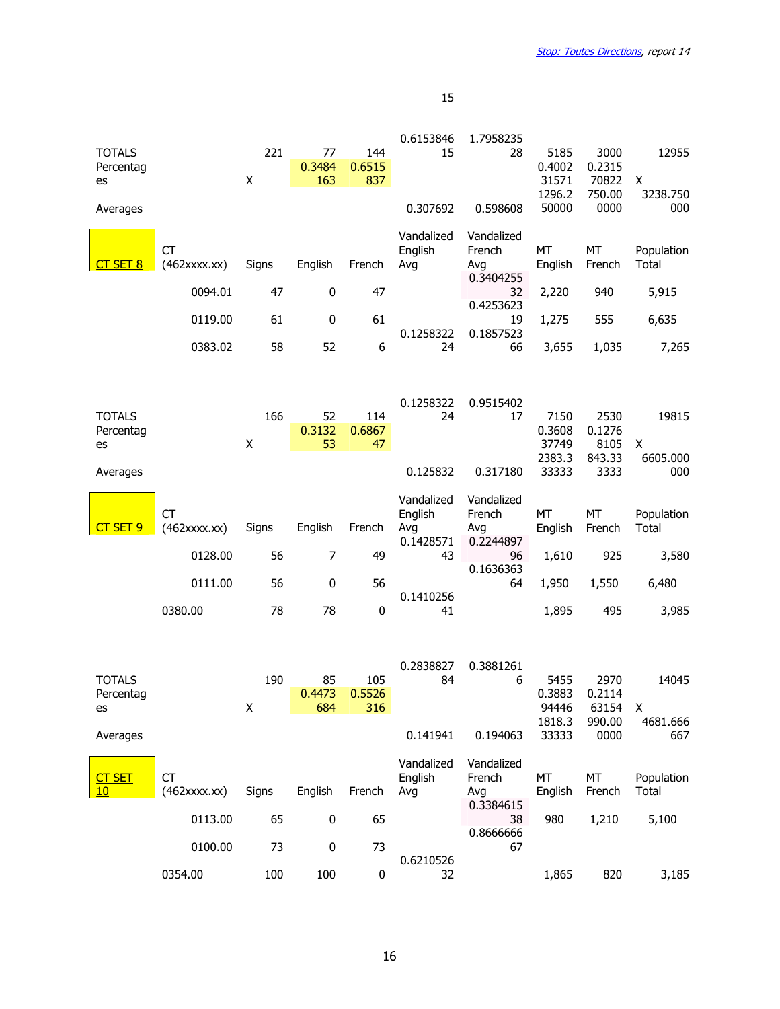| <b>TOTALS</b>       |                                 | 221   | 77        | 144         | 0.6153846<br>15 | 1.7958235<br>28 | 5185            | 3000            | 12955                      |
|---------------------|---------------------------------|-------|-----------|-------------|-----------------|-----------------|-----------------|-----------------|----------------------------|
| Percentag           |                                 |       | 0.3484    | 0.6515      |                 |                 | 0.4002          | 0.2315          |                            |
| es                  |                                 | Χ     | 163       | 837         |                 |                 | 31571<br>1296.2 | 70822<br>750.00 | X<br>3238.750              |
| Averages            |                                 |       |           |             | 0.307692        | 0.598608        | 50000           | 0000            | 000                        |
|                     |                                 |       |           |             | Vandalized      | Vandalized      |                 |                 |                            |
| CT SET 8            | <b>CT</b><br>$(462$ xxxx.xx $)$ | Signs | English   | French      | English<br>Avg  | French<br>Avg   | MT<br>English   | МT<br>French    | Population<br><b>Total</b> |
|                     |                                 |       |           |             |                 | 0.3404255       |                 |                 |                            |
|                     | 0094.01                         | 47    | $\pmb{0}$ | 47          |                 | 32<br>0.4253623 | 2,220           | 940             | 5,915                      |
|                     | 0119.00                         | 61    | 0         | 61          |                 | 19              | 1,275           | 555             | 6,635                      |
|                     | 0383.02                         | 58    | 52        | 6           | 0.1258322<br>24 | 0.1857523<br>66 | 3,655           | 1,035           | 7,265                      |
|                     |                                 |       |           |             |                 |                 |                 |                 |                            |
|                     |                                 |       |           |             |                 |                 |                 |                 |                            |
| <b>TOTALS</b>       |                                 | 166   | 52        | 114         | 0.1258322<br>24 | 0.9515402<br>17 | 7150            | 2530            | 19815                      |
| Percentag           |                                 |       | 0.3132    | 0.6867      |                 |                 | 0.3608          | 0.1276          |                            |
| es                  |                                 | X     | 53        | 47          |                 |                 | 37749<br>2383.3 | 8105<br>843.33  | X<br>6605.000              |
| Averages            |                                 |       |           |             | 0.125832        | 0.317180        | 33333           | 3333            | 000                        |
|                     |                                 |       |           |             | Vandalized      | Vandalized      |                 |                 |                            |
|                     | <b>CT</b>                       |       |           |             | English         | French          | МT              | МT              | Population                 |
|                     |                                 |       |           |             |                 |                 |                 |                 |                            |
| CT SET 9            | $(462$ xxxx.xx $)$              | Signs | English   | French      | Avg             | Avg             | English         | French          | Total                      |
|                     | 0128.00                         | 56    | 7         | 49          | 0.1428571<br>43 | 0.2244897<br>96 | 1,610           | 925             | 3,580                      |
|                     |                                 |       |           |             |                 | 0.1636363       |                 |                 |                            |
|                     | 0111.00                         | 56    | $\pmb{0}$ | 56          | 0.1410256       | 64              | 1,950           | 1,550           | 6,480                      |
|                     | 0380.00                         | 78    | 78        | $\mathbf 0$ | 41              |                 | 1,895           | 495             | 3,985                      |
|                     |                                 |       |           |             |                 |                 |                 |                 |                            |
|                     |                                 |       |           |             | 0.2838827       | 0.3881261       |                 |                 |                            |
| <b>TOTALS</b>       |                                 | 190   | 85        | 105         | 84              | 6               | 5455            | 2970            | 14045                      |
| Percentag<br>es     |                                 |       | 0.4473    | 0.5526      |                 |                 | 0.3883          | 0.2114          |                            |
|                     |                                 | Χ     | 684       | 316         |                 |                 | 94446<br>1818.3 | 63154<br>990.00 | $\mathsf{X}$<br>4681.666   |
| Averages            |                                 |       |           |             | 0.141941        | 0.194063        | 33333           | 0000            | 667                        |
|                     |                                 |       |           |             | Vandalized      | Vandalized      |                 |                 |                            |
| <b>CT SET</b><br>10 | <b>CT</b><br>$(462$ xxxx.xx $)$ | Signs | English   | French      | English<br>Avg  | French<br>Avg   | MT<br>English   | MT<br>French    | Population<br>Total        |
|                     |                                 |       |           |             |                 | 0.3384615       |                 |                 |                            |
|                     | 0113.00                         | 65    | $\pmb{0}$ | 65          |                 | 38<br>0.8666666 | 980             | 1,210           | 5,100                      |
|                     | 0100.00                         | 73    | $\pmb{0}$ | 73          | 0.6210526       | 67              |                 |                 |                            |